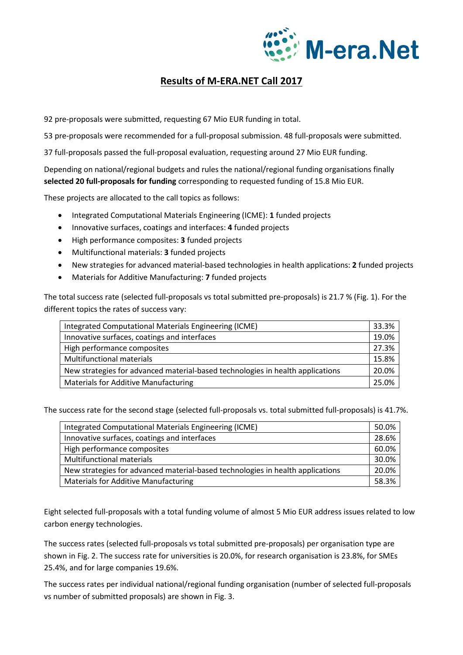

## **Results of M-ERA.NET Call 2017**

92 pre-proposals were submitted, requesting 67 Mio EUR funding in total.

53 pre-proposals were recommended for a full-proposal submission. 48 full-proposals were submitted.

37 full-proposals passed the full-proposal evaluation, requesting around 27 Mio EUR funding.

Depending on national/regional budgets and rules the national/regional funding organisations finally **selected 20 full-proposals for funding** corresponding to requested funding of 15.8 Mio EUR.

These projects are allocated to the call topics as follows:

- Integrated Computational Materials Engineering (ICME): **1** funded projects
- Innovative surfaces, coatings and interfaces: **4** funded projects
- High performance composites: **3** funded projects
- Multifunctional materials: **3** funded projects
- New strategies for advanced material-based technologies in health applications: **2** funded projects
- Materials for Additive Manufacturing: **7** funded projects

The total success rate (selected full-proposals vs total submitted pre-proposals) is 21.7 % (Fig. 1). For the different topics the rates of success vary:

| Integrated Computational Materials Engineering (ICME)                          | 33.3% |
|--------------------------------------------------------------------------------|-------|
| Innovative surfaces, coatings and interfaces                                   | 19.0% |
| High performance composites                                                    | 27.3% |
| <b>Multifunctional materials</b>                                               | 15.8% |
| New strategies for advanced material-based technologies in health applications | 20.0% |
| <b>Materials for Additive Manufacturing</b>                                    | 25.0% |

The success rate for the second stage (selected full-proposals vs. total submitted full-proposals) is 41.7%.

| Integrated Computational Materials Engineering (ICME)                          | 50.0% |
|--------------------------------------------------------------------------------|-------|
| Innovative surfaces, coatings and interfaces                                   | 28.6% |
| High performance composites                                                    | 60.0% |
| Multifunctional materials                                                      | 30.0% |
| New strategies for advanced material-based technologies in health applications | 20.0% |
| <b>Materials for Additive Manufacturing</b>                                    | 58.3% |

Eight selected full-proposals with a total funding volume of almost 5 Mio EUR address issues related to low carbon energy technologies.

The success rates (selected full-proposals vs total submitted pre-proposals) per organisation type are shown in Fig. 2. The success rate for universities is 20.0%, for research organisation is 23.8%, for SMEs 25.4%, and for large companies 19.6%.

The success rates per individual national/regional funding organisation (number of selected full-proposals vs number of submitted proposals) are shown in Fig. 3.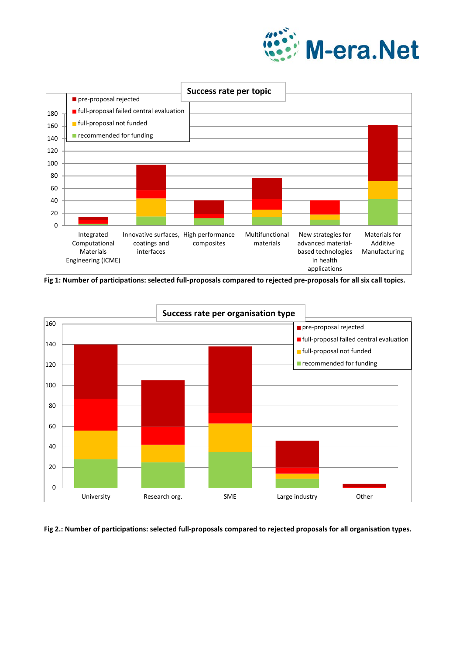



**Fig 1: Number of participations: selected full-proposals compared to rejected pre-proposals for all six call topics.**



**Fig 2.: Number of participations: selected full-proposals compared to rejected proposals for all organisation types.**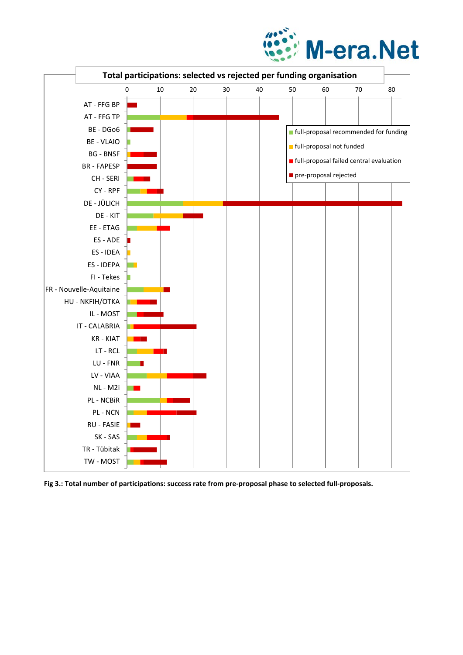



**Fig 3.: Total number of participations: success rate from pre-proposal phase to selected full-proposals.**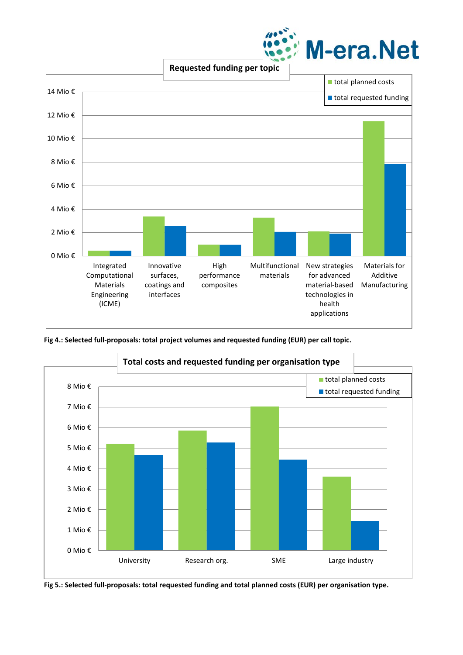

**Requested funding per topic**



**Fig 4.: Selected full-proposals: total project volumes and requested funding (EUR) per call topic.**



**Fig 5.: Selected full-proposals: total requested funding and total planned costs (EUR) per organisation type.**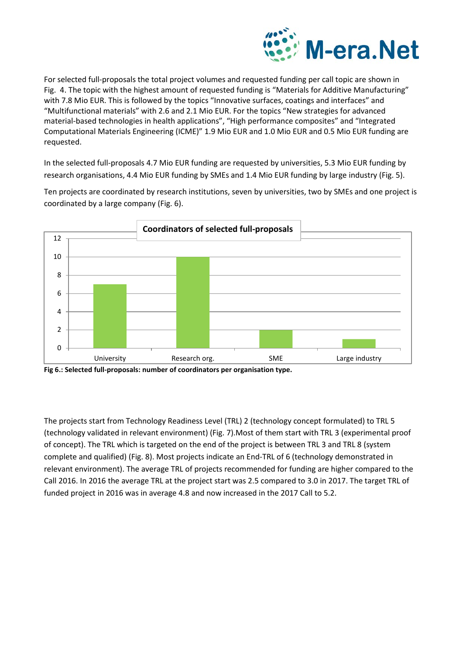

For selected full-proposals the total project volumes and requested funding per call topic are shown in Fig. 4. The topic with the highest amount of requested funding is "Materials for Additive Manufacturing" with 7.8 Mio EUR. This is followed by the topics "Innovative surfaces, coatings and interfaces" and "Multifunctional materials" with 2.6 and 2.1 Mio EUR. For the topics "New strategies for advanced material-based technologies in health applications", "High performance composites" and "Integrated Computational Materials Engineering (ICME)" 1.9 Mio EUR and 1.0 Mio EUR and 0.5 Mio EUR funding are requested.

In the selected full-proposals 4.7 Mio EUR funding are requested by universities, 5.3 Mio EUR funding by research organisations, 4.4 Mio EUR funding by SMEs and 1.4 Mio EUR funding by large industry (Fig. 5).

Ten projects are coordinated by research institutions, seven by universities, two by SMEs and one project is coordinated by a large company (Fig. 6).



**Fig 6.: Selected full-proposals: number of coordinators per organisation type.**

The projects start from Technology Readiness Level (TRL) 2 (technology concept formulated) to TRL 5 (technology validated in relevant environment) (Fig. 7).Most of them start with TRL 3 (experimental proof of concept). The TRL which is targeted on the end of the project is between TRL 3 and TRL 8 (system complete and qualified) (Fig. 8). Most projects indicate an End-TRL of 6 (technology demonstrated in relevant environment). The average TRL of projects recommended for funding are higher compared to the Call 2016. In 2016 the average TRL at the project start was 2.5 compared to 3.0 in 2017. The target TRL of funded project in 2016 was in average 4.8 and now increased in the 2017 Call to 5.2.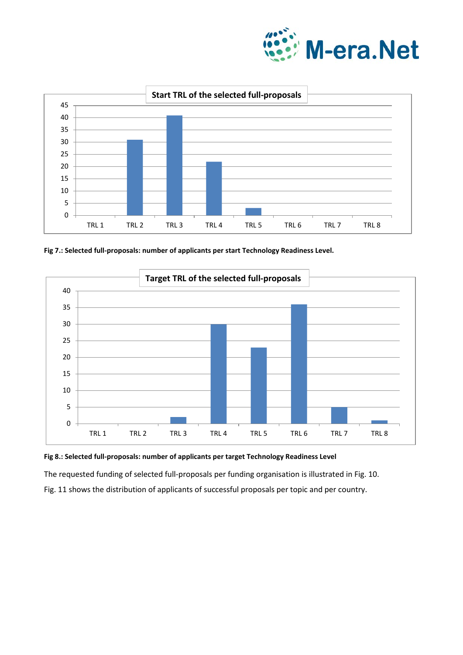



**Fig 7.: Selected full-proposals: number of applicants per start Technology Readiness Level.**





The requested funding of selected full-proposals per funding organisation is illustrated in Fig. 10.

Fig. 11 shows the distribution of applicants of successful proposals per topic and per country.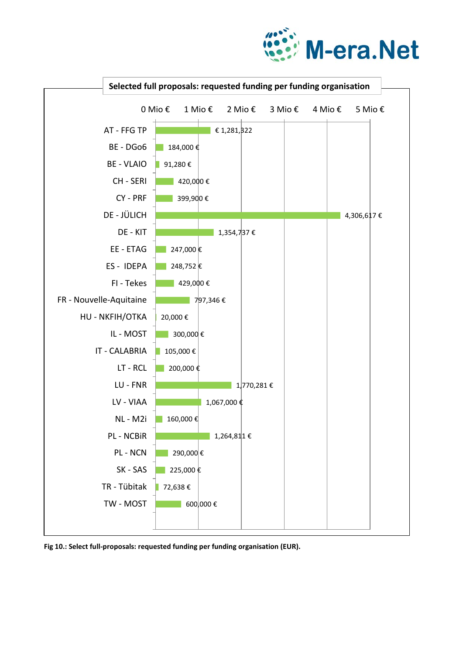



**Fig 10.: Select full-proposals: requested funding per funding organisation (EUR).**